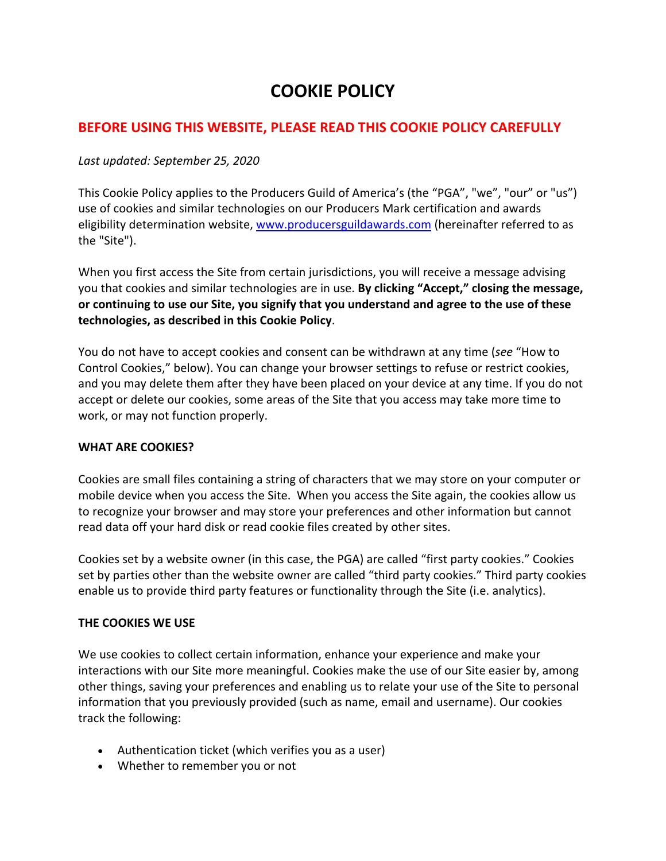# **COOKIE POLICY**

## **BEFORE USING THIS WEBSITE, PLEASE READ THIS COOKIE POLICY CAREFULLY**

### *Last updated: September 25, 2020*

This Cookie Policy applies to the Producers Guild of America's (the "PGA", "we", "our" or "us") use of cookies and similar technologies on our Producers Mark certification and awards eligibility determination website, www.producersguildawards.com (hereinafter referred to as the "Site").

When you first access the Site from certain jurisdictions, you will receive a message advising you that cookies and similar technologies are in use. **By clicking "Accept," closing the message, or continuing to use our Site, you signify that you understand and agree to the use of these technologies, as described in this Cookie Policy**.

You do not have to accept cookies and consent can be withdrawn at any time (*see* "How to Control Cookies," below). You can change your browser settings to refuse or restrict cookies, and you may delete them after they have been placed on your device at any time. If you do not accept or delete our cookies, some areas of the Site that you access may take more time to work, or may not function properly.

#### **WHAT ARE COOKIES?**

Cookies are small files containing a string of characters that we may store on your computer or mobile device when you access the Site. When you access the Site again, the cookies allow us to recognize your browser and may store your preferences and other information but cannot read data off your hard disk or read cookie files created by other sites.

Cookies set by a website owner (in this case, the PGA) are called "first party cookies." Cookies set by parties other than the website owner are called "third party cookies." Third party cookies enable us to provide third party features or functionality through the Site (i.e. analytics).

## **THE COOKIES WE USE**

We use cookies to collect certain information, enhance your experience and make your interactions with our Site more meaningful. Cookies make the use of our Site easier by, among other things, saving your preferences and enabling us to relate your use of the Site to personal information that you previously provided (such as name, email and username). Our cookies track the following:

- Authentication ticket (which verifies you as a user)
- Whether to remember you or not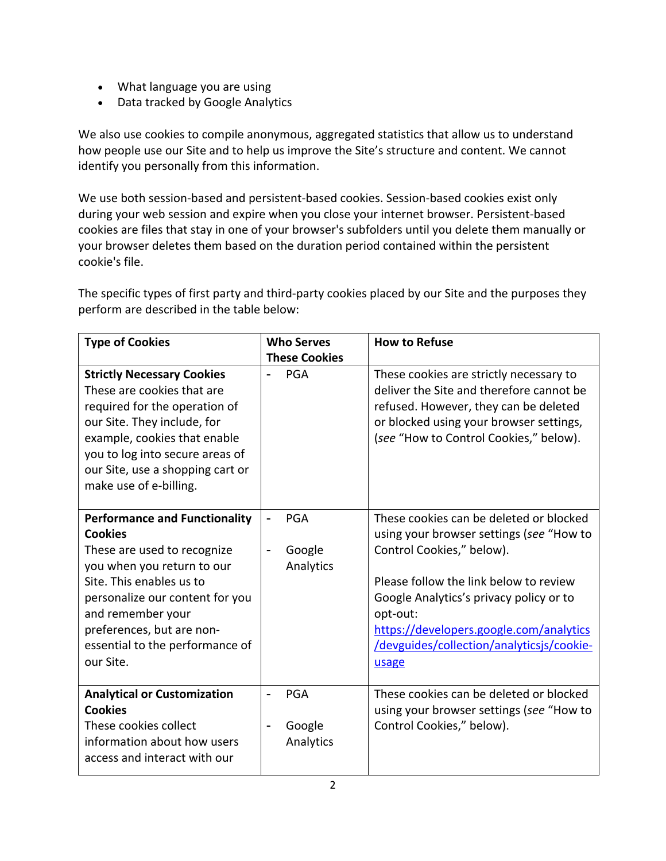- What language you are using
- Data tracked by Google Analytics

We also use cookies to compile anonymous, aggregated statistics that allow us to understand how people use our Site and to help us improve the Site's structure and content. We cannot identify you personally from this information.

We use both session-based and persistent-based cookies. Session-based cookies exist only during your web session and expire when you close your internet browser. Persistent-based cookies are files that stay in one of your browser's subfolders until you delete them manually or your browser deletes them based on the duration period contained within the persistent cookie's file.

The specific types of first party and third-party cookies placed by our Site and the purposes they perform are described in the table below:

| <b>Type of Cookies</b>                                                                                                                                                                                                                                                               | <b>Who Serves</b>                 | <b>How to Refuse</b>                                                                                                                                                                                                                                                                                               |
|--------------------------------------------------------------------------------------------------------------------------------------------------------------------------------------------------------------------------------------------------------------------------------------|-----------------------------------|--------------------------------------------------------------------------------------------------------------------------------------------------------------------------------------------------------------------------------------------------------------------------------------------------------------------|
|                                                                                                                                                                                                                                                                                      | <b>These Cookies</b>              |                                                                                                                                                                                                                                                                                                                    |
| <b>Strictly Necessary Cookies</b><br>These are cookies that are<br>required for the operation of<br>our Site. They include, for<br>example, cookies that enable<br>you to log into secure areas of<br>our Site, use a shopping cart or<br>make use of e-billing.                     | PGA                               | These cookies are strictly necessary to<br>deliver the Site and therefore cannot be<br>refused. However, they can be deleted<br>or blocked using your browser settings,<br>(see "How to Control Cookies," below).                                                                                                  |
| <b>Performance and Functionality</b><br><b>Cookies</b><br>These are used to recognize<br>you when you return to our<br>Site. This enables us to<br>personalize our content for you<br>and remember your<br>preferences, but are non-<br>essential to the performance of<br>our Site. | <b>PGA</b><br>Google<br>Analytics | These cookies can be deleted or blocked<br>using your browser settings (see "How to<br>Control Cookies," below).<br>Please follow the link below to review<br>Google Analytics's privacy policy or to<br>opt-out:<br>https://developers.google.com/analytics<br>/devguides/collection/analyticsjs/cookie-<br>usage |
| <b>Analytical or Customization</b><br><b>Cookies</b><br>These cookies collect<br>information about how users<br>access and interact with our                                                                                                                                         | <b>PGA</b><br>Google<br>Analytics | These cookies can be deleted or blocked<br>using your browser settings (see "How to<br>Control Cookies," below).                                                                                                                                                                                                   |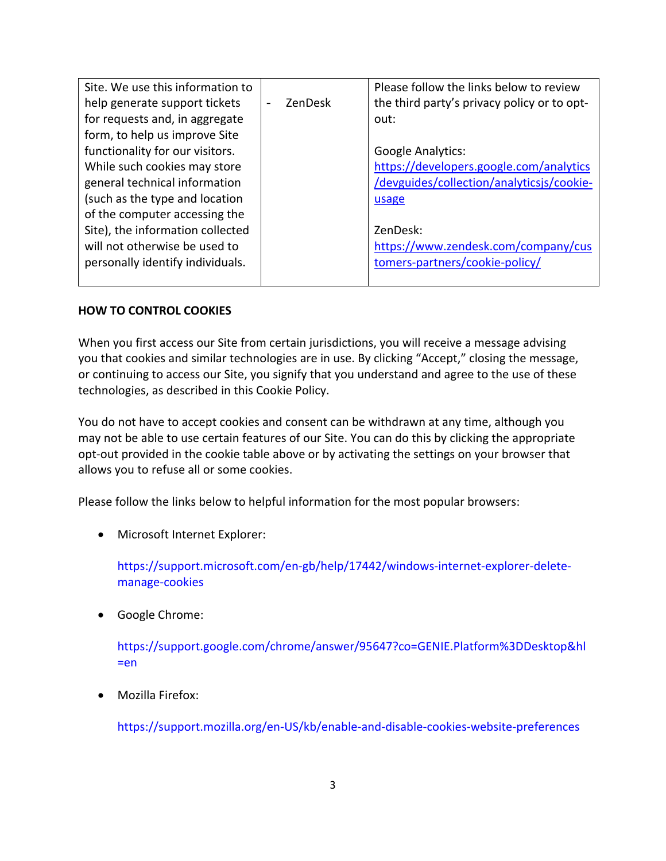| Site. We use this information to |                          |         | Please follow the links below to review     |
|----------------------------------|--------------------------|---------|---------------------------------------------|
|                                  |                          |         |                                             |
| help generate support tickets    | $\overline{\phantom{a}}$ | ZenDesk | the third party's privacy policy or to opt- |
| for requests and, in aggregate   |                          |         | out:                                        |
| form, to help us improve Site    |                          |         |                                             |
| functionality for our visitors.  |                          |         | <b>Google Analytics:</b>                    |
| While such cookies may store     |                          |         | https://developers.google.com/analytics     |
| general technical information    |                          |         | /devguides/collection/analyticsjs/cookie-   |
| (such as the type and location   |                          |         | usage                                       |
| of the computer accessing the    |                          |         |                                             |
| Site), the information collected |                          |         | ZenDesk:                                    |
| will not otherwise be used to    |                          |         | https://www.zendesk.com/company/cus         |
| personally identify individuals. |                          |         | tomers-partners/cookie-policy/              |
|                                  |                          |         |                                             |

#### **HOW TO CONTROL COOKIES**

When you first access our Site from certain jurisdictions, you will receive a message advising you that cookies and similar technologies are in use. By clicking "Accept," closing the message, or continuing to access our Site, you signify that you understand and agree to the use of these technologies, as described in this Cookie Policy.

You do not have to accept cookies and consent can be withdrawn at any time, although you may not be able to use certain features of our Site. You can do this by clicking the appropriate opt-out provided in the cookie table above or by activating the settings on your browser that allows you to refuse all or some cookies.

Please follow the links below to helpful information for the most popular browsers:

• Microsoft Internet Explorer:

https://support.microsoft.com/en-gb/help/17442/windows-internet-explorer-deletemanage-cookies

• Google Chrome:

https://support.google.com/chrome/answer/95647?co=GENIE.Platform%3DDesktop&hl =en

Mozilla Firefox:

https://support.mozilla.org/en-US/kb/enable-and-disable-cookies-website-preferences